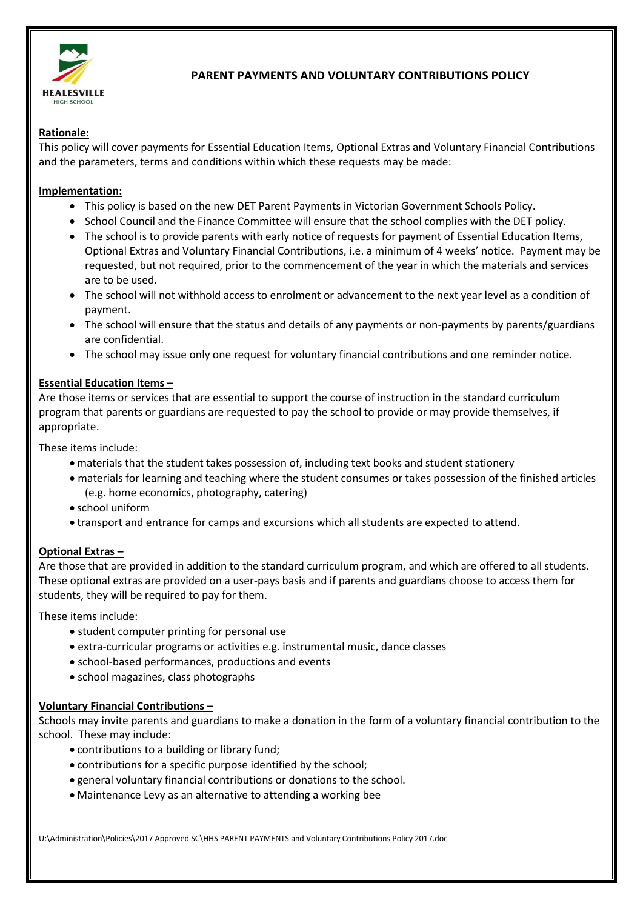

# **PARENT PAYMENTS AND VOLUNTARY CONTRIBUTIONS POLICY**

### **Rationale:**

This policy will cover payments for Essential Education Items, Optional Extras and Voluntary Financial Contributions and the parameters, terms and conditions within which these requests may be made:

#### **Implementation:**

- This policy is based on the new DET Parent Payments in Victorian Government Schools Policy.
- School Council and the Finance Committee will ensure that the school complies with the DET policy.
- The school is to provide parents with early notice of requests for payment of Essential Education Items, Optional Extras and Voluntary Financial Contributions, i.e. a minimum of 4 weeks' notice. Payment may be requested, but not required, prior to the commencement of the year in which the materials and services are to be used.
- The school will not withhold access to enrolment or advancement to the next year level as a condition of payment.
- The school will ensure that the status and details of any payments or non-payments by parents/guardians are confidential.
- The school may issue only one request for voluntary financial contributions and one reminder notice.

#### **Essential Education Items –**

Are those items or services that are essential to support the course of instruction in the standard curriculum program that parents or guardians are requested to pay the school to provide or may provide themselves, if appropriate.

These items include:

- materials that the student takes possession of, including text books and student stationery
- materials for learning and teaching where the student consumes or takes possession of the finished articles (e.g. home economics, photography, catering)
- school uniform
- transport and entrance for camps and excursions which all students are expected to attend.

### **Optional Extras –**

Are those that are provided in addition to the standard curriculum program, and which are offered to all students. These optional extras are provided on a user-pays basis and if parents and guardians choose to access them for students, they will be required to pay for them.

These items include:

- student computer printing for personal use
- extra-curricular programs or activities e.g. instrumental music, dance classes
- school-based performances, productions and events
- school magazines, class photographs

### **Voluntary Financial Contributions –**

Schools may invite parents and guardians to make a donation in the form of a voluntary financial contribution to the school. These may include:

- contributions to a building or library fund;
- contributions for a specific purpose identified by the school;
- general voluntary financial contributions or donations to the school.
- Maintenance Levy as an alternative to attending a working bee

U:\Administration\Policies\2017 Approved SC\HHS PARENT PAYMENTS and Voluntary Contributions Policy 2017.doc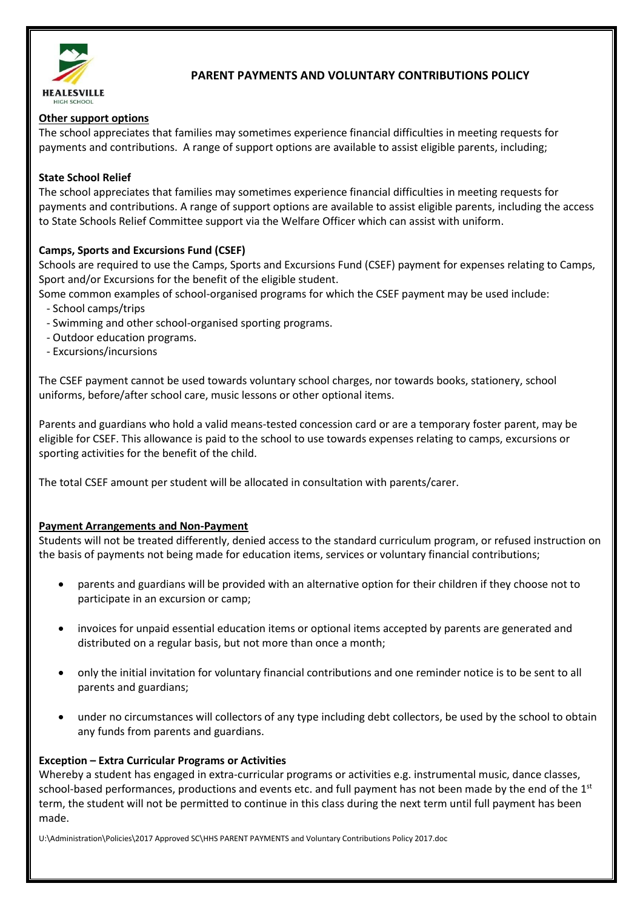

# **PARENT PAYMENTS AND VOLUNTARY CONTRIBUTIONS POLICY**

### **Other support options**

The school appreciates that families may sometimes experience financial difficulties in meeting requests for payments and contributions. A range of support options are available to assist eligible parents, including;

### **State School Relief**

The school appreciates that families may sometimes experience financial difficulties in meeting requests for payments and contributions. A range of support options are available to assist eligible parents, including the access to State Schools Relief Committee support via the Welfare Officer which can assist with uniform.

### **Camps, Sports and Excursions Fund (CSEF)**

Schools are required to use the Camps, Sports and Excursions Fund (CSEF) payment for expenses relating to Camps, Sport and/or Excursions for the benefit of the eligible student.

Some common examples of school-organised programs for which the CSEF payment may be used include:

- School camps/trips
- Swimming and other school-organised sporting programs.
- Outdoor education programs.
- Excursions/incursions

The CSEF payment cannot be used towards voluntary school charges, nor towards books, stationery, school uniforms, before/after school care, music lessons or other optional items.

Parents and guardians who hold a valid means-tested concession card or are a temporary foster parent, may be eligible for CSEF. This allowance is paid to the school to use towards expenses relating to camps, excursions or sporting activities for the benefit of the child.

The total CSEF amount per student will be allocated in consultation with parents/carer.

### **Payment Arrangements and Non-Payment**

Students will not be treated differently, denied access to the standard curriculum program, or refused instruction on the basis of payments not being made for education items, services or voluntary financial contributions;

- parents and guardians will be provided with an alternative option for their children if they choose not to participate in an excursion or camp;
- invoices for unpaid essential education items or optional items accepted by parents are generated and distributed on a regular basis, but not more than once a month;
- only the initial invitation for voluntary financial contributions and one reminder notice is to be sent to all parents and guardians;
- under no circumstances will collectors of any type including debt collectors, be used by the school to obtain any funds from parents and guardians.

### **Exception – Extra Curricular Programs or Activities**

Whereby a student has engaged in extra-curricular programs or activities e.g. instrumental music, dance classes, school-based performances, productions and events etc. and full payment has not been made by the end of the  $1<sup>st</sup>$ term, the student will not be permitted to continue in this class during the next term until full payment has been made.

U:\Administration\Policies\2017 Approved SC\HHS PARENT PAYMENTS and Voluntary Contributions Policy 2017.doc